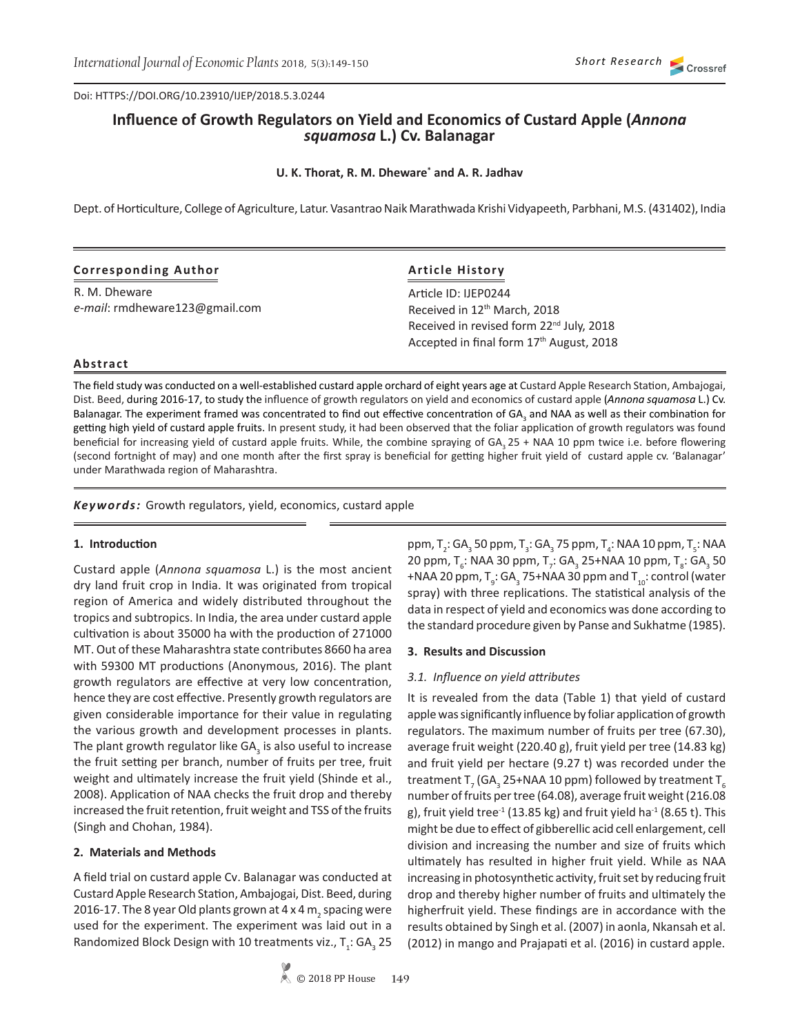Doi: HTTPS://DOI.ORG/10.23910/IJEP/2018.5.3.0244

# **Influence of Growth Regulators on Yield and Economics of Custard Apple (***Annona squamosa* **L.) Cv. Balanagar**

## **U. K. Thorat, R. M. Dheware\* and A. R. Jadhav**

Dept. of Horticulture, College of Agriculture, Latur. Vasantrao Naik Marathwada Krishi Vidyapeeth, Parbhani, M.S. (431402), India

| <b>Corresponding Author</b> |  |
|-----------------------------|--|
|-----------------------------|--|

R. M. Dheware *e-mail*: rmdheware123@gmail.com

## **Article History**

Article ID: IJEP0244 Received in 12<sup>th</sup> March, 2018 Received in revised form 22<sup>nd</sup> July, 2018 Accepted in final form 17<sup>th</sup> August, 2018

## **Abstract**

The field study was conducted on a well-established custard apple orchard of eight years age at Custard Apple Research Station, Ambajogai, Dist. Beed, during 2016-17, to study the influence of growth regulators on yield and economics of custard apple (*Annona squamosa* L.) Cv. Balanagar. The experiment framed was concentrated to find out effective concentration of GA<sub>3</sub> and NAA as well as their combination for getting high yield of custard apple fruits. In present study, it had been observed that the foliar application of growth regulators was found beneficial for increasing yield of custard apple fruits. While, the combine spraying of  $GA_2 25 + NAA 10$  ppm twice i.e. before flowering (second fortnight of may) and one month after the first spray is beneficial for getting higher fruit yield of custard apple cv. 'Balanagar' under Marathwada region of Maharashtra.

*Keywords:* Growth regulators, yield, economics, custard apple

#### **1. Introduction**

Custard apple (*Annona squamosa* L.) is the most ancient dry land fruit crop in India. It was originated from tropical region of America and widely distributed throughout the tropics and subtropics. In India, the area under custard apple cultivation is about 35000 ha with the production of 271000 MT. Out of these Maharashtra state contributes 8660 ha area with 59300 MT productions (Anonymous, 2016). The plant growth regulators are effective at very low concentration, hence they are cost effective. Presently growth regulators are given considerable importance for their value in regulating the various growth and development processes in plants. The plant growth regulator like GA<sub>3</sub> is also useful to increase the fruit setting per branch, number of fruits per tree, fruit weight and ultimately increase the fruit yield (Shinde et al., 2008). Application of NAA checks the fruit drop and thereby increased the fruit retention, fruit weight and TSS of the fruits (Singh and Chohan, 1984).

#### **2. Materials and Methods**

A field trial on custard apple Cv. Balanagar was conducted at Custard Apple Research Station, Ambajogai, Dist. Beed, during 2016-17. The 8 year Old plants grown at 4 x 4  $\rm m^{}_2$  spacing were used for the experiment. The experiment was laid out in a Randomized Block Design with 10 treatments viz.,  $T_i$ : GA<sub>3</sub> 25 ppm, T<sub>2</sub>: GA<sub>3</sub> 50 ppm, T<sub>3</sub>: GA<sub>3</sub> 75 ppm, T<sub>4</sub>: NAA 10 ppm, T<sub>5</sub>: NAA 20 ppm, T<sub>6</sub>: NAA 30 ppm, T<sub>7</sub>: GA<sub>3</sub> 25+NAA 10 ppm, T<sub>8</sub>: GA<sub>3</sub> 50 +NAA 20 ppm, T $_{9}$ : GA $_{3}$  75+NAA 30 ppm and T $_{10}$ : control (water spray) with three replications. The statistical analysis of the data in respect of yield and economics was done according to the standard procedure given by Panse and Sukhatme (1985).

#### **3. Results and Discussion**

#### *3.1. Influence on yield attributes*

It is revealed from the data (Table 1) that yield of custard apple was significantly influence by foliar application of growth regulators. The maximum number of fruits per tree (67.30), average fruit weight (220.40 g), fruit yield per tree (14.83 kg) and fruit yield per hectare (9.27 t) was recorded under the treatment T<sub>7</sub> (GA<sub>3</sub> 25+NAA 10 ppm) followed by treatment T<sub>6</sub> number of fruits per tree (64.08), average fruit weight (216.08 g), fruit yield tree<sup>-1</sup> (13.85 kg) and fruit yield ha<sup>-1</sup> (8.65 t). This might be due to effect of gibberellic acid cell enlargement, cell division and increasing the number and size of fruits which ultimately has resulted in higher fruit yield. While as NAA increasing in photosynthetic activity, fruit set by reducing fruit drop and thereby higher number of fruits and ultimately the higherfruit yield. These findings are in accordance with the results obtained by Singh et al. (2007) in aonla, Nkansah et al. (2012) in mango and Prajapati et al. (2016) in custard apple.